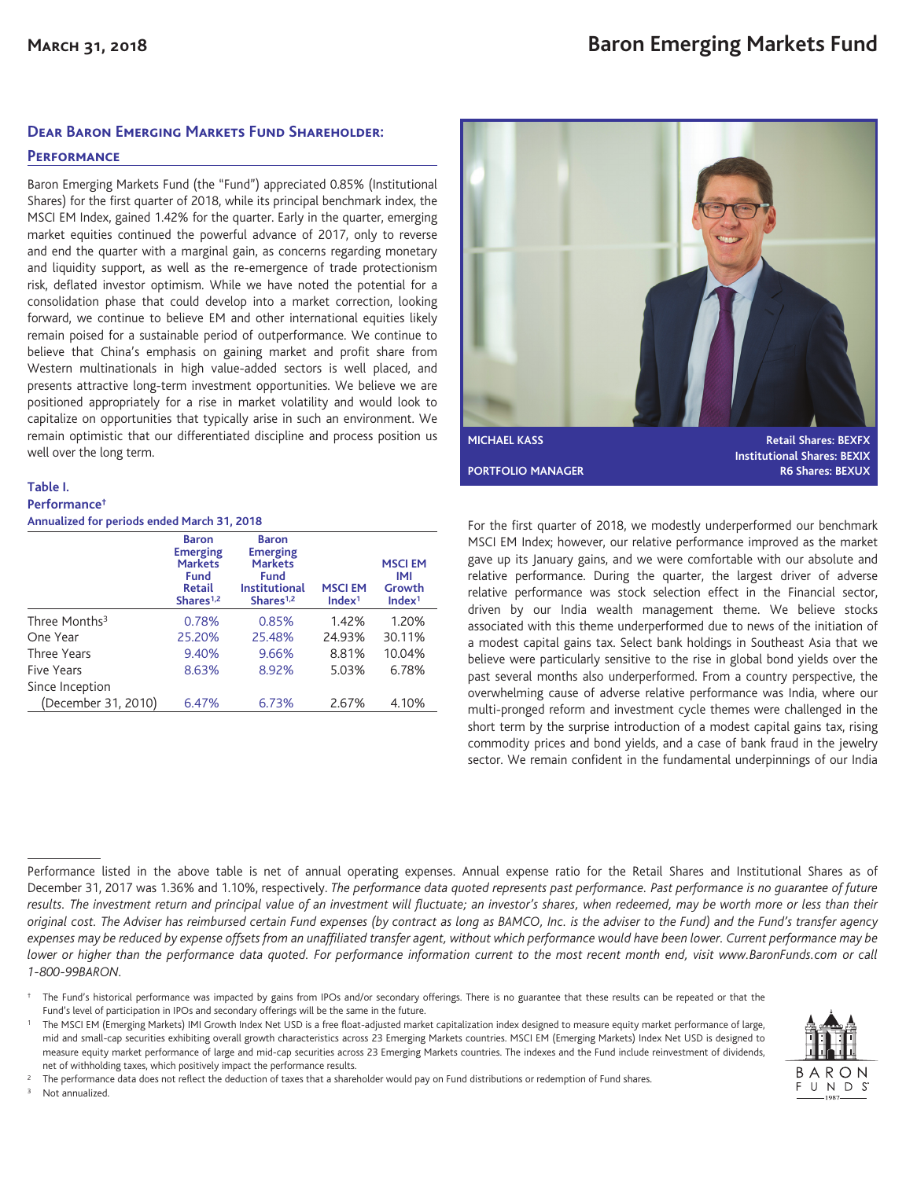### **Dear Baron Emerging Markets Fund Shareholder:**

### **Performance**

Baron Emerging Markets Fund (the "Fund") appreciated 0.85% (Institutional Shares) for the first quarter of 2018, while its principal benchmark index, the MSCI EM Index, gained 1.42% for the quarter. Early in the quarter, emerging market equities continued the powerful advance of 2017, only to reverse and end the quarter with a marginal gain, as concerns regarding monetary and liquidity support, as well as the re-emergence of trade protectionism risk, deflated investor optimism. While we have noted the potential for a consolidation phase that could develop into a market correction, looking forward, we continue to believe EM and other international equities likely remain poised for a sustainable period of outperformance. We continue to believe that China's emphasis on gaining market and profit share from Western multinationals in high value-added sectors is well placed, and presents attractive long-term investment opportunities. We believe we are positioned appropriately for a rise in market volatility and would look to capitalize on opportunities that typically arise in such an environment. We remain optimistic that our differentiated discipline and process position us well over the long term.

### **Table I. Performance† Annualized for periods ended March 31, 2018**

|                           | <b>Baron</b><br><b>Emerging</b><br><b>Markets</b><br>Fund<br><b>Retail</b><br>Shares <sup>1,2</sup> | <b>Baron</b><br><b>Emerging</b><br><b>Markets</b><br>Fund<br><b>Institutional</b><br>Shares $1,2$ | <b>MSCIEM</b><br>Index <sup>1</sup> | <b>MSCIEM</b><br>IMI<br>Growth<br>Index <sup>1</sup> |
|---------------------------|-----------------------------------------------------------------------------------------------------|---------------------------------------------------------------------------------------------------|-------------------------------------|------------------------------------------------------|
| Three Months <sup>3</sup> | 0.78%                                                                                               | 0.85%                                                                                             | 1.42%                               | 1.20%                                                |
| One Year                  | 25.20%                                                                                              | 25.48%                                                                                            | 24.93%                              | 30.11%                                               |
| Three Years               | 9.40%                                                                                               | 9.66%                                                                                             | 8.81%                               | 10.04%                                               |
| <b>Five Years</b>         | 8.63%                                                                                               | 8.92%                                                                                             | 5.03%                               | 6.78%                                                |
| Since Inception           |                                                                                                     |                                                                                                   |                                     |                                                      |
| (December 31, 2010)       | 6.47%                                                                                               | 6.73%                                                                                             | 2.67%                               | 4.10%                                                |



For the first quarter of 2018, we modestly underperformed our benchmark MSCI EM Index; however, our relative performance improved as the market gave up its January gains, and we were comfortable with our absolute and relative performance. During the quarter, the largest driver of adverse relative performance was stock selection effect in the Financial sector, driven by our India wealth management theme. We believe stocks associated with this theme underperformed due to news of the initiation of a modest capital gains tax. Select bank holdings in Southeast Asia that we believe were particularly sensitive to the rise in global bond yields over the past several months also underperformed. From a country perspective, the overwhelming cause of adverse relative performance was India, where our multi-pronged reform and investment cycle themes were challenged in the short term by the surprise introduction of a modest capital gains tax, rising commodity prices and bond yields, and a case of bank fraud in the jewelry sector. We remain confident in the fundamental underpinnings of our India

Performance listed in the above table is net of annual operating expenses. Annual expense ratio for the Retail Shares and Institutional Shares as of December 31, 2017 was 1.36% and 1.10%, respectively. *The performance data quoted represents past performance. Past performance is no guarantee of future results. The investment return and principal value of an investment will fluctuate; an investor's shares, when redeemed, may be worth more or less than their original cost. The Adviser has reimbursed certain Fund expenses (by contract as long as BAMCO, Inc. is the adviser to the Fund) and the Fund's transfer agency expenses may be reduced by expense offsets from an unaffiliated transfer agent, without which performance would have been lower. Current performance may be lower or higher than the performance data quoted. For performance information current to the most recent month end, visit www.BaronFunds.com or call 1-800-99BARON.*

- † The Fund's historical performance was impacted by gains from IPOs and/or secondary offerings. There is no guarantee that these results can be repeated or that the Fund's level of participation in IPOs and secondary offerings will be the same in the future.
- <sup>1</sup> The MSCI EM (Emerging Markets) IMI Growth Index Net USD is a free float-adjusted market capitalization index designed to measure equity market performance of large, mid and small-cap securities exhibiting overall growth characteristics across 23 Emerging Markets countries. MSCI EM (Emerging Markets) Index Net USD is designed to measure equity market performance of large and mid-cap securities across 23 Emerging Markets countries. The indexes and the Fund include reinvestment of dividends, net of withholding taxes, which positively impact the performance results.

<sup>2</sup> The performance data does not reflect the deduction of taxes that a shareholder would pay on Fund distributions or redemption of Fund shares. Not annualized.

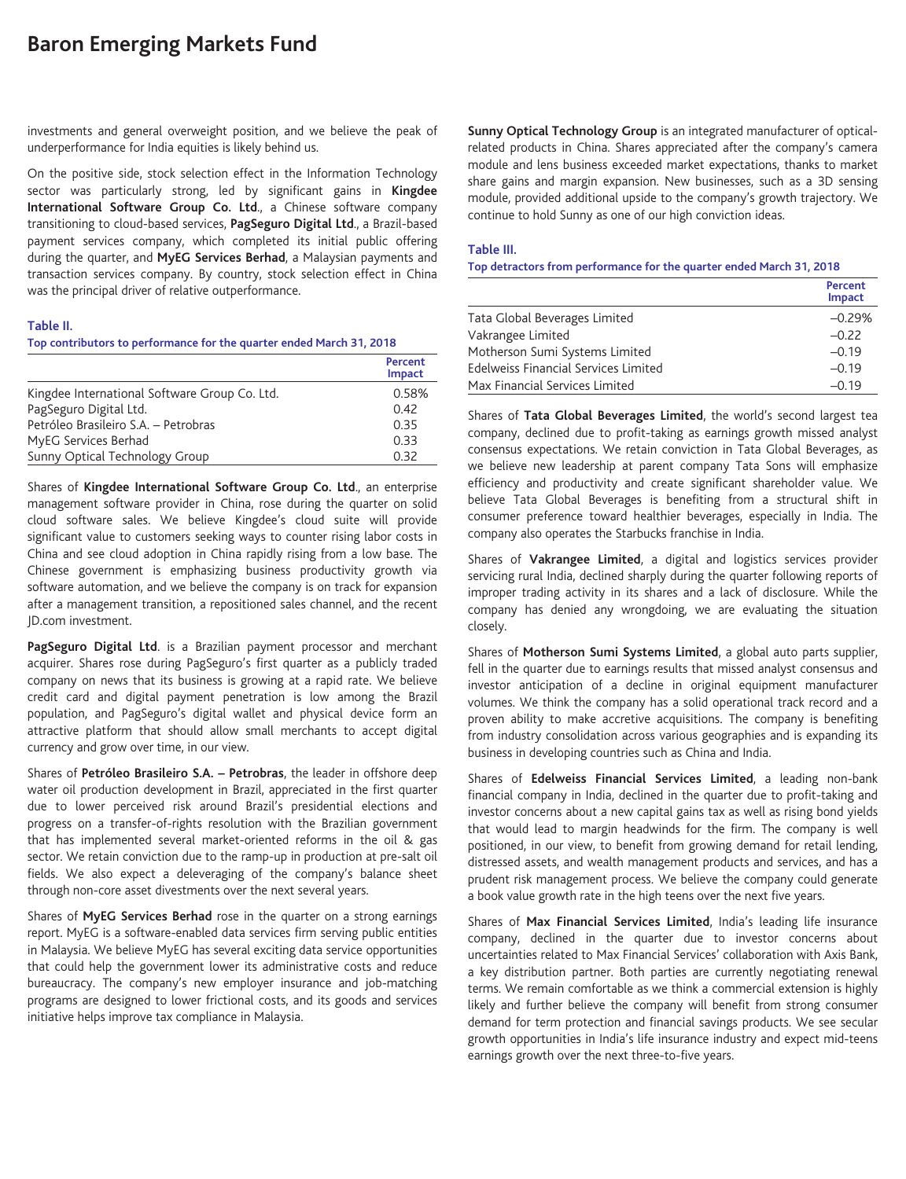# **Baron Emerging Markets Fund**

investments and general overweight position, and we believe the peak of underperformance for India equities is likely behind us.

On the positive side, stock selection effect in the Information Technology sector was particularly strong, led by significant gains in **Kingdee International Software Group Co. Ltd**., a Chinese software company transitioning to cloud-based services, **PagSeguro Digital Ltd**., a Brazil-based payment services company, which completed its initial public offering during the quarter, and **MyEG Services Berhad**, a Malaysian payments and transaction services company. By country, stock selection effect in China was the principal driver of relative outperformance.

#### **Table II.**

### **Top contributors to performance for the quarter ended March 31, 2018**

|                                               | Percent<br>Impact |
|-----------------------------------------------|-------------------|
| Kingdee International Software Group Co. Ltd. | 0.58%             |
| PagSeguro Digital Ltd.                        | 0.42              |
| Petróleo Brasileiro S.A. - Petrobras          | 0.35              |
| MyEG Services Berhad                          | 0.33              |
| Sunny Optical Technology Group                | 0.32              |

Shares of **Kingdee International Software Group Co. Ltd**., an enterprise management software provider in China, rose during the quarter on solid cloud software sales. We believe Kingdee's cloud suite will provide significant value to customers seeking ways to counter rising labor costs in China and see cloud adoption in China rapidly rising from a low base. The Chinese government is emphasizing business productivity growth via software automation, and we believe the company is on track for expansion after a management transition, a repositioned sales channel, and the recent JD.com investment.

PagSeguro Digital Ltd. is a Brazilian payment processor and merchant acquirer. Shares rose during PagSeguro's first quarter as a publicly traded company on news that its business is growing at a rapid rate. We believe credit card and digital payment penetration is low among the Brazil population, and PagSeguro's digital wallet and physical device form an attractive platform that should allow small merchants to accept digital currency and grow over time, in our view.

Shares of **Petróleo Brasileiro S.A. – Petrobras**, the leader in offshore deep water oil production development in Brazil, appreciated in the first quarter due to lower perceived risk around Brazil's presidential elections and progress on a transfer-of-rights resolution with the Brazilian government that has implemented several market-oriented reforms in the oil & gas sector. We retain conviction due to the ramp-up in production at pre-salt oil fields. We also expect a deleveraging of the company's balance sheet through non-core asset divestments over the next several years.

Shares of **MyEG Services Berhad** rose in the quarter on a strong earnings report. MyEG is a software-enabled data services firm serving public entities in Malaysia. We believe MyEG has several exciting data service opportunities that could help the government lower its administrative costs and reduce bureaucracy. The company's new employer insurance and job-matching programs are designed to lower frictional costs, and its goods and services initiative helps improve tax compliance in Malaysia.

**Sunny Optical Technology Group** is an integrated manufacturer of opticalrelated products in China. Shares appreciated after the company's camera module and lens business exceeded market expectations, thanks to market share gains and margin expansion. New businesses, such as a 3D sensing module, provided additional upside to the company's growth trajectory. We continue to hold Sunny as one of our high conviction ideas.

#### **Table III.**

### **Top detractors from performance for the quarter ended March 31, 2018**

|                                      | Percent<br>Impact |
|--------------------------------------|-------------------|
| Tata Global Beverages Limited        | $-0.29%$          |
| Vakrangee Limited                    | $-0.22$           |
| Motherson Sumi Systems Limited       | $-0.19$           |
| Edelweiss Financial Services Limited | $-0.19$           |
| Max Financial Services Limited       | $-0.19$           |

Shares of **Tata Global Beverages Limited**, the world's second largest tea company, declined due to profit-taking as earnings growth missed analyst consensus expectations. We retain conviction in Tata Global Beverages, as we believe new leadership at parent company Tata Sons will emphasize efficiency and productivity and create significant shareholder value. We believe Tata Global Beverages is benefiting from a structural shift in consumer preference toward healthier beverages, especially in India. The company also operates the Starbucks franchise in India.

Shares of **Vakrangee Limited**, a digital and logistics services provider servicing rural India, declined sharply during the quarter following reports of improper trading activity in its shares and a lack of disclosure. While the company has denied any wrongdoing, we are evaluating the situation closely.

Shares of **Motherson Sumi Systems Limited**, a global auto parts supplier, fell in the quarter due to earnings results that missed analyst consensus and investor anticipation of a decline in original equipment manufacturer volumes. We think the company has a solid operational track record and a proven ability to make accretive acquisitions. The company is benefiting from industry consolidation across various geographies and is expanding its business in developing countries such as China and India.

Shares of **Edelweiss Financial Services Limited**, a leading non-bank financial company in India, declined in the quarter due to profit-taking and investor concerns about a new capital gains tax as well as rising bond yields that would lead to margin headwinds for the firm. The company is well positioned, in our view, to benefit from growing demand for retail lending, distressed assets, and wealth management products and services, and has a prudent risk management process. We believe the company could generate a book value growth rate in the high teens over the next five years.

Shares of **Max Financial Services Limited**, India's leading life insurance company, declined in the quarter due to investor concerns about uncertainties related to Max Financial Services' collaboration with Axis Bank, a key distribution partner. Both parties are currently negotiating renewal terms. We remain comfortable as we think a commercial extension is highly likely and further believe the company will benefit from strong consumer demand for term protection and financial savings products. We see secular growth opportunities in India's life insurance industry and expect mid-teens earnings growth over the next three-to-five years.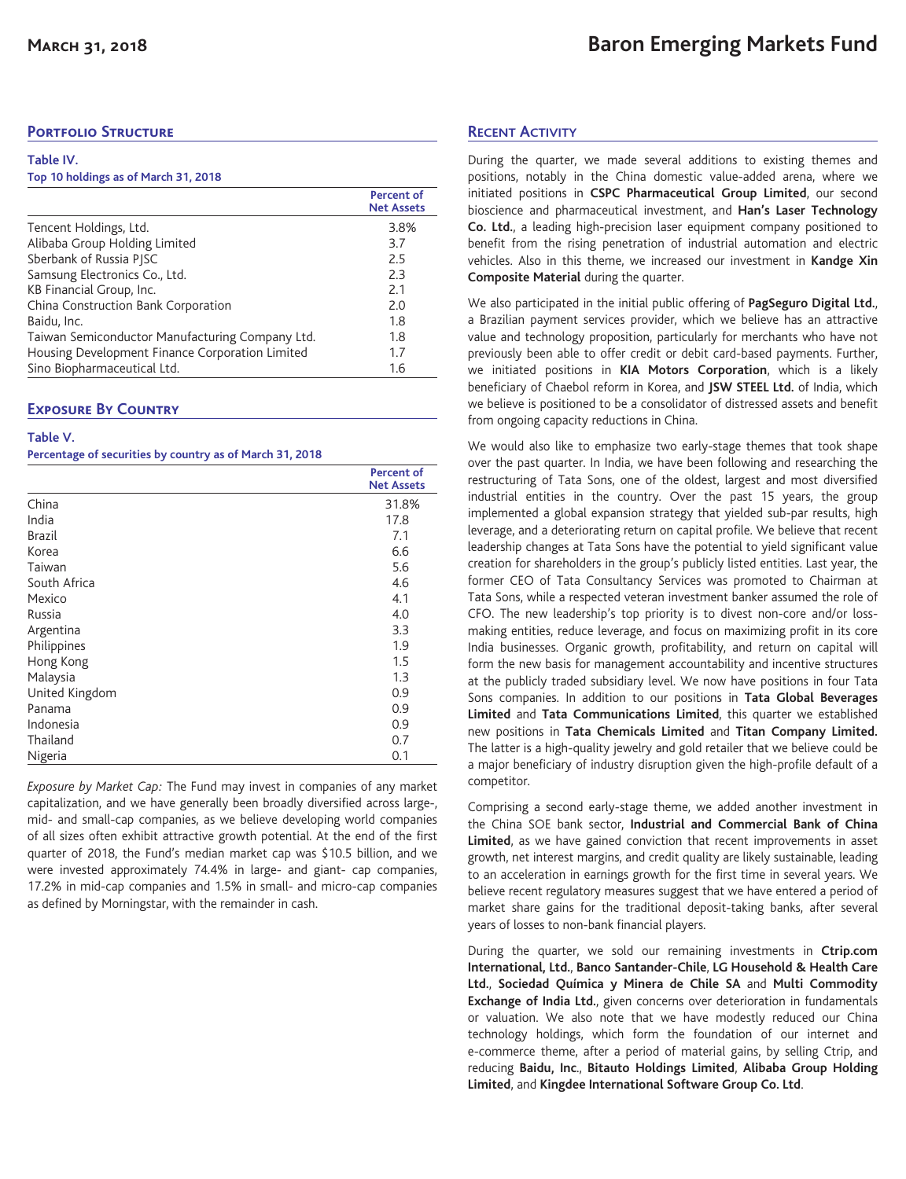# **Portfolio Structure**

### **Table IV.**

### **Top 10 holdings as of March 31, 2018**

|                                                 | <b>Percent of</b><br><b>Net Assets</b> |
|-------------------------------------------------|----------------------------------------|
| Tencent Holdings, Ltd.                          | 3.8%                                   |
| Alibaba Group Holding Limited                   | 3.7                                    |
| Sberbank of Russia PISC                         | 2.5                                    |
| Samsung Electronics Co., Ltd.                   | 2.3                                    |
| KB Financial Group, Inc.                        | 2.1                                    |
| China Construction Bank Corporation             | 2.0                                    |
| Baidu, Inc.                                     | 1.8                                    |
| Taiwan Semiconductor Manufacturing Company Ltd. | 1.8                                    |
| Housing Development Finance Corporation Limited | 1.7                                    |
| Sino Biopharmaceutical Ltd.                     | 1.6                                    |

## **Exposure By Country**

### **Table V.**

**Percentage of securities by country as of March 31, 2018**

|                | <b>Percent of</b><br><b>Net Assets</b> |
|----------------|----------------------------------------|
| China          | 31.8%                                  |
| India          | 17.8                                   |
| <b>Brazil</b>  | 7.1                                    |
| Korea          | 6.6                                    |
| Taiwan         | 5.6                                    |
| South Africa   | 4.6                                    |
| Mexico         | 4.1                                    |
| Russia         | 4.0                                    |
| Argentina      | 3.3                                    |
| Philippines    | 1.9                                    |
| Hong Kong      | 1.5                                    |
| Malaysia       | 1.3                                    |
| United Kingdom | 0.9                                    |
| Panama         | 0.9                                    |
| Indonesia      | 0.9                                    |
| Thailand       | 0.7                                    |
| Nigeria        | 0.1                                    |

*Exposure by Market Cap:* The Fund may invest in companies of any market capitalization, and we have generally been broadly diversified across large-, mid- and small-cap companies, as we believe developing world companies of all sizes often exhibit attractive growth potential. At the end of the first quarter of 2018, the Fund's median market cap was \$10.5 billion, and we were invested approximately 74.4% in large- and giant- cap companies, 17.2% in mid-cap companies and 1.5% in small- and micro-cap companies as defined by Morningstar, with the remainder in cash.

## **RECENT ACTIVITY**

During the quarter, we made several additions to existing themes and positions, notably in the China domestic value-added arena, where we initiated positions in **CSPC Pharmaceutical Group Limited**, our second bioscience and pharmaceutical investment, and **Han's Laser Technology Co. Ltd.**, a leading high-precision laser equipment company positioned to benefit from the rising penetration of industrial automation and electric vehicles. Also in this theme, we increased our investment in **Kandge Xin Composite Material** during the quarter.

We also participated in the initial public offering of **PagSeguro Digital Ltd.**, a Brazilian payment services provider, which we believe has an attractive value and technology proposition, particularly for merchants who have not previously been able to offer credit or debit card-based payments. Further, we initiated positions in **KIA Motors Corporation**, which is a likely beneficiary of Chaebol reform in Korea, and **JSW STEEL Ltd.** of India, which we believe is positioned to be a consolidator of distressed assets and benefit from ongoing capacity reductions in China.

We would also like to emphasize two early-stage themes that took shape over the past quarter. In India, we have been following and researching the restructuring of Tata Sons, one of the oldest, largest and most diversified industrial entities in the country. Over the past 15 years, the group implemented a global expansion strategy that yielded sub-par results, high leverage, and a deteriorating return on capital profile. We believe that recent leadership changes at Tata Sons have the potential to yield significant value creation for shareholders in the group's publicly listed entities. Last year, the former CEO of Tata Consultancy Services was promoted to Chairman at Tata Sons, while a respected veteran investment banker assumed the role of CFO. The new leadership's top priority is to divest non-core and/or lossmaking entities, reduce leverage, and focus on maximizing profit in its core India businesses. Organic growth, profitability, and return on capital will form the new basis for management accountability and incentive structures at the publicly traded subsidiary level. We now have positions in four Tata Sons companies. In addition to our positions in **Tata Global Beverages Limited** and **Tata Communications Limited**, this quarter we established new positions in **Tata Chemicals Limited** and **Titan Company Limited.** The latter is a high-quality jewelry and gold retailer that we believe could be a major beneficiary of industry disruption given the high-profile default of a competitor.

Comprising a second early-stage theme, we added another investment in the China SOE bank sector, **Industrial and Commercial Bank of China Limited**, as we have gained conviction that recent improvements in asset growth, net interest margins, and credit quality are likely sustainable, leading to an acceleration in earnings growth for the first time in several years. We believe recent regulatory measures suggest that we have entered a period of market share gains for the traditional deposit-taking banks, after several years of losses to non-bank financial players.

During the quarter, we sold our remaining investments in **Ctrip.com International, Ltd.**, **Banco Santander-Chile**, **LG Household & Health Care Ltd.**, **Sociedad Química y Minera de Chile SA** and **Multi Commodity Exchange of India Ltd.**, given concerns over deterioration in fundamentals or valuation. We also note that we have modestly reduced our China technology holdings, which form the foundation of our internet and e-commerce theme, after a period of material gains, by selling Ctrip, and reducing **Baidu, Inc**., **Bitauto Holdings Limited**, **Alibaba Group Holding Limited**, and **Kingdee International Software Group Co. Ltd**.